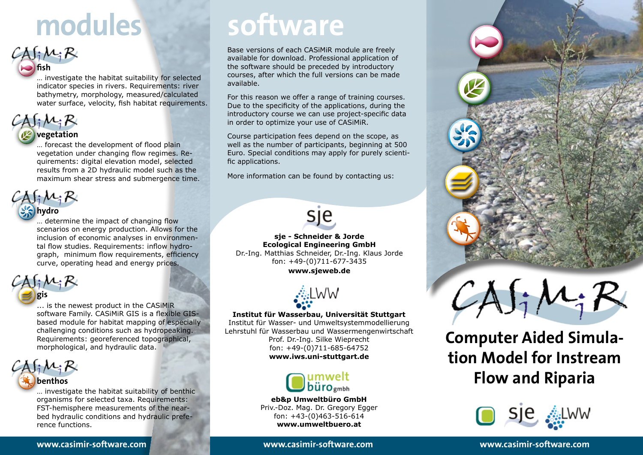# **modules**<br> **Software**<br> **Base versions of each CASiMiR model**<br> **Base versions** of each CASiMiR model<br> **Base versions** of each CASiMiR model<br> **Professions**

Base versions of each CASiMiR module are freely available for download. Professional application of the software should be preceded by introductory courses, after which the full versions can be made available.

For this reason we offer a range of training courses. Due to the specificity of the applications, during the introductory course we can use project-specific data in order to optimize your use of CASiMiR.

Course participation fees depend on the scope, as well as the number of participants, beginning at 500 Euro. Special conditions may apply for purely scientific applications.

More information can be found by contacting us:



**sje - Schneider & Jorde Ecological Engineering GmbH** Dr.-Ing. Matthias Schneider, Dr.-Ing. Klaus Jorde fon: +49-(0)711-677-3435 **www.sjeweb.de**



### **Institut für Wasserbau, Universität Stuttgart**

Institut für Wasser- und Umweltsystemmodellierung Lehrstuhl für Wasserbau und Wassermengenwirtschaft Prof. Dr.-Ing. Silke Wieprecht fon: +49-(0)711-685-64752 **www.iws.uni-stuttgart.de**



**eb&p Umweltbüro GmbH** Priv.-Doz. Mag. Dr. Gregory Egger fon: +43-(0)463-516-614 **www.umweltbuero.at**





**Computer Aided Simulation Model for Instream Flow and Riparia**



water surface, velocity, fish habitat requirements.  $\{A_i\mathcal{M}_i\}$ 

**fish**

### *vegetation*

… forecast the development of flood plain vegetation under changing flow regimes. Requirements: digital elevation model, selected results from a 2D hydraulic model such as the maximum shear stress and submergence time.

… investigate the habitat suitability for selected indicator species in rivers. Requirements: river bathymetry, morphology, measured/calculated



### … determine the impact of changing flow scenarios on energy production. Allows for the inclusion of economic analyses in environmental flow studies. Requirements: inflow hydrograph, minimum flow requirements, efficiency

curve, operating head and energy prices.

### $\{ \cdot \mu, \mathcal{R} \}$ **gis**

... is the newest product in the CASiMiR software Family. CASiMiR GIS is a flexible GISbased module for habitat mapping of especially challenging conditions such as hydropeaking. Requirements: georeferenced topographical, morphological, and hydraulic data.

### $\Lambda \int_i \mathcal{M}_i \mathcal{R}_i$ **benthos**

… investigate the habitat suitability of benthic organisms for selected taxa. Requirements: FST-hemisphere measurements of the nearbed hydraulic conditions and hydraulic preference functions.

**www.casimir-software.com www.casimir-software.com www.casimir-software.com**